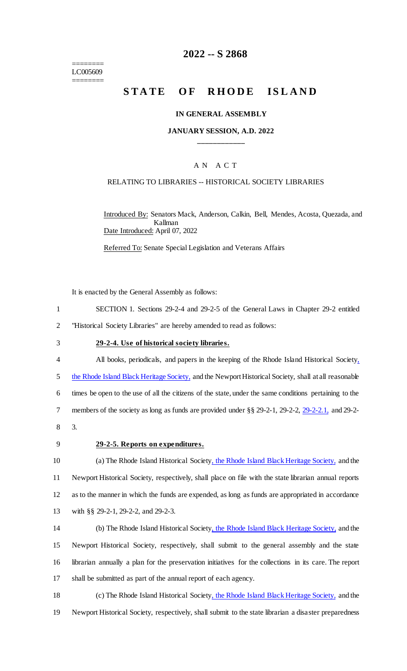======== LC005609 ========

# **2022 -- S 2868**

# **STATE OF RHODE ISLAND**

#### **IN GENERAL ASSEMBLY**

## **JANUARY SESSION, A.D. 2022 \_\_\_\_\_\_\_\_\_\_\_\_**

## A N A C T

## RELATING TO LIBRARIES -- HISTORICAL SOCIETY LIBRARIES

Introduced By: Senators Mack, Anderson, Calkin, Bell, Mendes, Acosta, Quezada, and Kallman Date Introduced: April 07, 2022

Referred To: Senate Special Legislation and Veterans Affairs

It is enacted by the General Assembly as follows:

- 1 SECTION 1. Sections 29-2-4 and 29-2-5 of the General Laws in Chapter 29-2 entitled 2 "Historical Society Libraries" are hereby amended to read as follows:
- 

#### 3 **29-2-4. Use of historical society libraries.**

- 4 All books, periodicals, and papers in the keeping of the Rhode Island Historical Society, 5 the Rhode Island Black Heritage Society, and the Newport Historical Society, shall at all reasonable 6 times be open to the use of all the citizens of the state, under the same conditions pertaining to the 7 members of the society as long as funds are provided under §§ 29-2-1, 29-2-2, 29-2-2.1, and 29-2-8 3.
- 

#### 9 **29-2-5. Reports on expenditures.**

10 (a) The Rhode Island Historical Society, the Rhode Island Black Heritage Society, and the 11 Newport Historical Society, respectively, shall place on file with the state librarian annual reports 12 as to the manner in which the funds are expended, as long as funds are appropriated in accordance 13 with §§ 29-2-1, 29-2-2, and 29-2-3.

 (b) The Rhode Island Historical Society, the Rhode Island Black Heritage Society, and the Newport Historical Society, respectively, shall submit to the general assembly and the state librarian annually a plan for the preservation initiatives for the collections in its care. The report shall be submitted as part of the annual report of each agency.

18 (c) The Rhode Island Historical Society, the Rhode Island Black Heritage Society, and the 19 Newport Historical Society, respectively, shall submit to the state librarian a disaster preparedness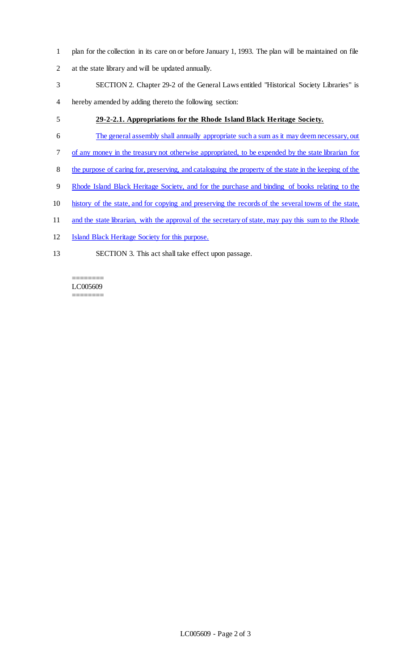- plan for the collection in its care on or before January 1, 1993. The plan will be maintained on file
- at the state library and will be updated annually.
- SECTION 2. Chapter 29-2 of the General Laws entitled "Historical Society Libraries" is
- hereby amended by adding thereto the following section:

# **29-2-2.1. Appropriations for the Rhode Island Black Heritage Society.**

- The general assembly shall annually appropriate such a sum as it may deem necessary, out
- of any money in the treasury not otherwise appropriated, to be expended by the state librarian for
- the purpose of caring for, preserving, and cataloguing the property of the state in the keeping of the
- Rhode Island Black Heritage Society, and for the purchase and binding of books relating to the
- history of the state, and for copying and preserving the records of the several towns of the state,
- 11 and the state librarian, with the approval of the secretary of state, may pay this sum to the Rhode
- Island Black Heritage Society for this purpose.
- SECTION 3. This act shall take effect upon passage.

#### ======== LC005609 ========